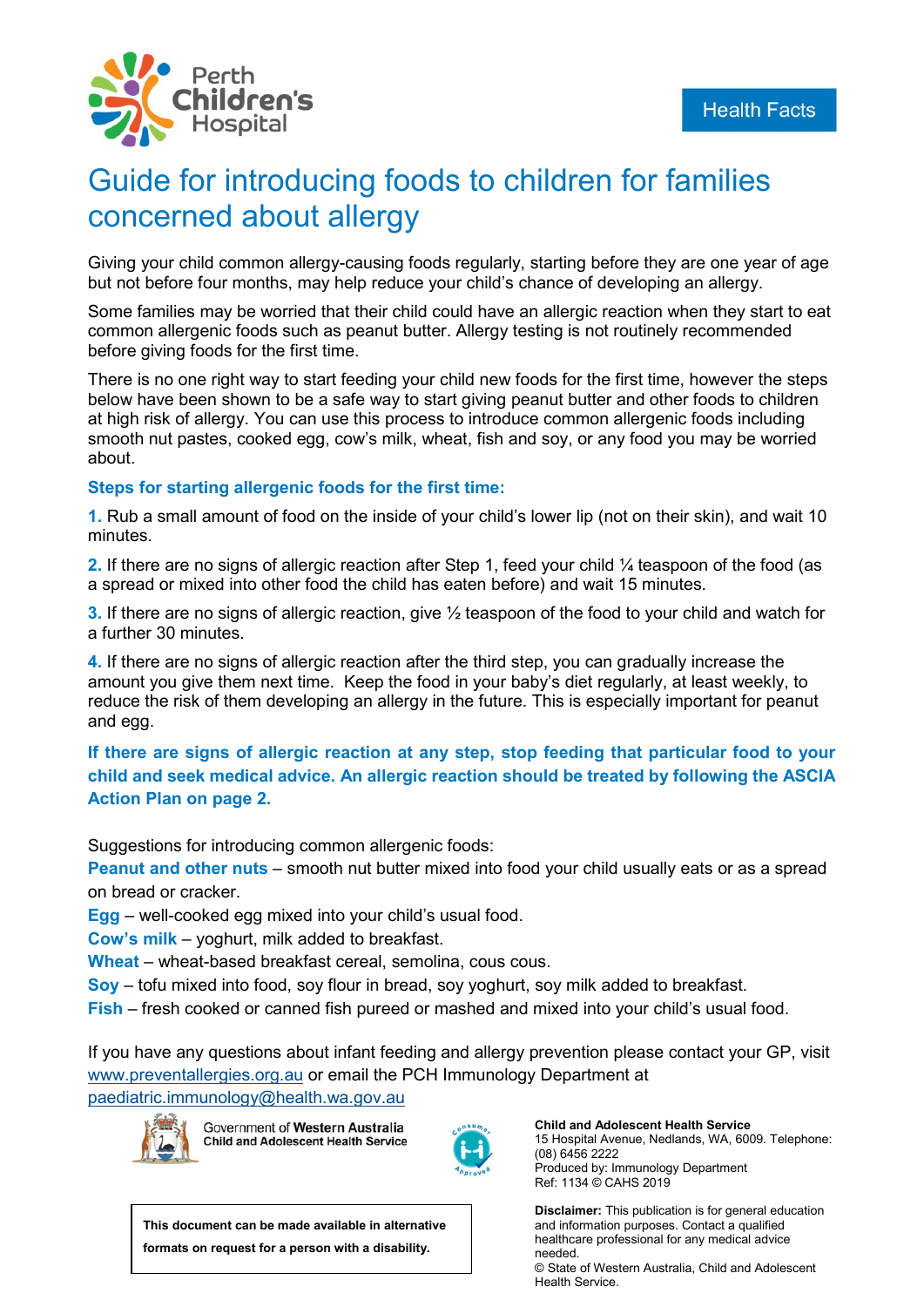

# Guide for introducing foods to children for families concerned about allergy

Giving your child common allergy-causing foods regularly, starting before they are one year of age but not before four months, may help reduce your child's chance of developing an allergy.

Some families may be worried that their child could have an allergic reaction when they start to eat common allergenic foods such as peanut butter. Allergy testing is not routinely recommended before giving foods for the first time.

There is no one right way to start feeding your child new foods for the first time, however the steps below have been shown to be a safe way to start giving peanut butter and other foods to children at high risk of allergy. You can use this process to introduce common allergenic foods including smooth nut pastes, cooked egg, cow's milk, wheat, fish and soy, or any food you may be worried about.

#### **Steps for starting allergenic foods for the first time:**

**1.** Rub a small amount of food on the inside of your child's lower lip (not on their skin), and wait 10 minutes.

**2.** If there are no signs of allergic reaction after Step 1, feed your child 1/4 teaspoon of the food (as a spread or mixed into other food the child has eaten before) and wait 15 minutes.

**3.** If there are no signs of allergic reaction, give ½ teaspoon of the food to your child and watch for a further 30 minutes.

**4.** If there are no signs of allergic reaction after the third step, you can gradually increase the amount you give them next time. Keep the food in your baby's diet regularly, at least weekly, to reduce the risk of them developing an allergy in the future. This is especially important for peanut and egg.

## **If there are signs of allergic reaction at any step, stop feeding that particular food to your child and seek medical advice. An allergic reaction should be treated by following the ASCIA Action Plan on page 2.**

Suggestions for introducing common allergenic foods:

**Peanut and other nuts** – smooth nut butter mixed into food your child usually eats or as a spread on bread or cracker.

**Egg** – well-cooked egg mixed into your child's usual food.

**Cow's milk** – yoghurt, milk added to breakfast.

**Wheat** – wheat-based breakfast cereal, semolina, cous cous.

**Soy** – tofu mixed into food, soy flour in bread, soy yoghurt, soy milk added to breakfast.

**Fish** – fresh cooked or canned fish pureed or mashed and mixed into your child's usual food.

If you have any questions about infant feeding and allergy prevention please contact your GP, visit [www.preventallergies.org.au](http://www.preventallergies.org.au/) or email the PCH Immunology Department at

[paediatric.immunology@health.wa.gov.au](mailto:paediatric.immunology@health.wa.gov.au)



Government of Western Australia **Child and Adolescent Health Service** 



**Child and Adolescent Health Service** 15 Hospital Avenue, Nedlands, WA, 6009. Telephone: (08) 6456 2222 Produced by: Immunology Department Ref: 1134 © CAHS 2019

**Disclaimer:** This publication is for general education and information purposes. Contact a qualified healthcare professional for any medical advice needed. © State of Western Australia, Child and Adolescent Health Service.

**This document can be made available in alternative formats on request for a person with a disability.**